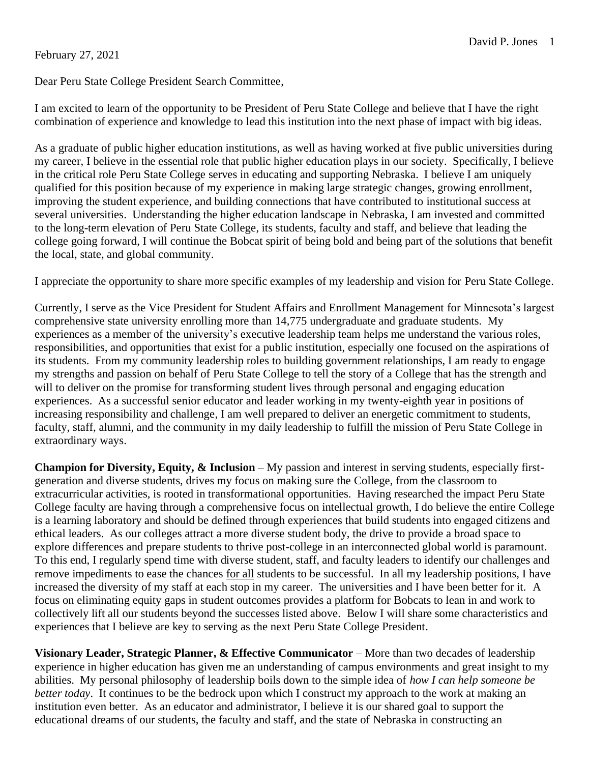### February 27, 2021

I am excited to learn of the opportunity to be President of Peru State College and believe that I have the right combination of experience and knowledge to lead this institution into the next phase of impact with big ideas.

As a graduate of public higher education institutions, as well as having worked at five public universities during my career, I believe in the essential role that public higher education plays in our society. Specifically, I believe in the critical role Peru State College serves in educating and supporting Nebraska. I believe I am uniquely qualified for this position because of my experience in making large strategic changes, growing enrollment, improving the student experience, and building connections that have contributed to institutional success at several universities. Understanding the higher education landscape in Nebraska, I am invested and committed to the long-term elevation of Peru State College, its students, faculty and staff, and believe that leading the college going forward, I will continue the Bobcat spirit of being bold and being part of the solutions that benefit the local, state, and global community.

I appreciate the opportunity to share more specific examples of my leadership and vision for Peru State College.

Currently, I serve as the Vice President for Student Affairs and Enrollment Management for Minnesota's largest comprehensive state university enrolling more than 14,775 undergraduate and graduate students. My experiences as a member of the university's executive leadership team helps me understand the various roles, responsibilities, and opportunities that exist for a public institution, especially one focused on the aspirations of its students. From my community leadership roles to building government relationships, I am ready to engage my strengths and passion on behalf of Peru State College to tell the story of a College that has the strength and will to deliver on the promise for transforming student lives through personal and engaging education experiences. As a successful senior educator and leader working in my twenty-eighth year in positions of increasing responsibility and challenge, I am well prepared to deliver an energetic commitment to students, faculty, staff, alumni, and the community in my daily leadership to fulfill the mission of Peru State College in extraordinary ways.

**Champion for Diversity, Equity, & Inclusion** – My passion and interest in serving students, especially firstgeneration and diverse students, drives my focus on making sure the College, from the classroom to extracurricular activities, is rooted in transformational opportunities. Having researched the impact Peru State College faculty are having through a comprehensive focus on intellectual growth, I do believe the entire College is a learning laboratory and should be defined through experiences that build students into engaged citizens and ethical leaders. As our colleges attract a more diverse student body, the drive to provide a broad space to explore differences and prepare students to thrive post-college in an interconnected global world is paramount. To this end, I regularly spend time with diverse student, staff, and faculty leaders to identify our challenges and remove impediments to ease the chances for all students to be successful. In all my leadership positions, I have increased the diversity of my staff at each stop in my career. The universities and I have been better for it. A focus on eliminating equity gaps in student outcomes provides a platform for Bobcats to lean in and work to collectively lift all our students beyond the successes listed above. Below I will share some characteristics and experiences that I believe are key to serving as the next Peru State College President.

**Visionary Leader, Strategic Planner, & Effective Communicator** – More than two decades of leadership experience in higher education has given me an understanding of campus environments and great insight to my abilities. My personal philosophy of leadership boils down to the simple idea of *how I can help someone be better today*. It continues to be the bedrock upon which I construct my approach to the work at making an institution even better. As an educator and administrator, I believe it is our shared goal to support the educational dreams of our students, the faculty and staff, and the state of Nebraska in constructing an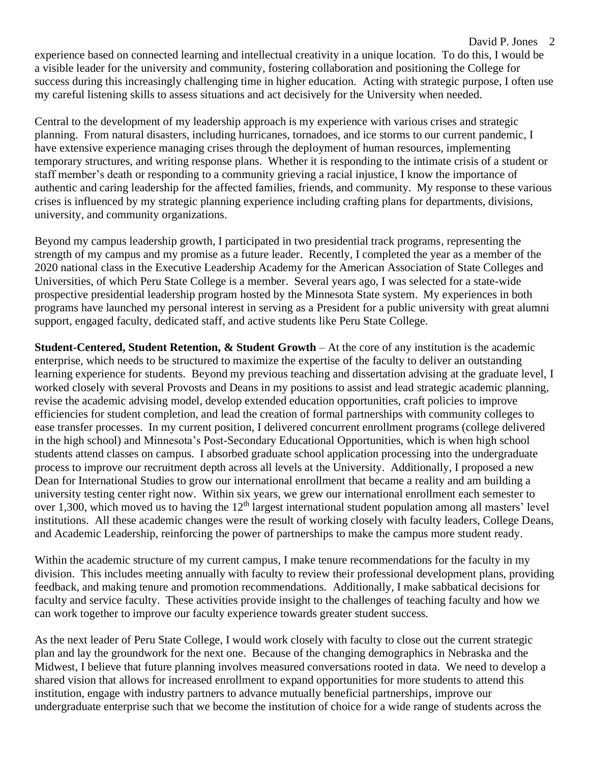experience based on connected learning and intellectual creativity in a unique location. To do this, I would be a visible leader for the university and community, fostering collaboration and positioning the College for success during this increasingly challenging time in higher education. Acting with strategic purpose, I often use my careful listening skills to assess situations and act decisively for the University when needed.

Central to the development of my leadership approach is my experience with various crises and strategic planning. From natural disasters, including hurricanes, tornadoes, and ice storms to our current pandemic, I have extensive experience managing crises through the deployment of human resources, implementing temporary structures, and writing response plans. Whether it is responding to the intimate crisis of a student or staff member's death or responding to a community grieving a racial injustice, I know the importance of authentic and caring leadership for the affected families, friends, and community. My response to these various crises is influenced by my strategic planning experience including crafting plans for departments, divisions, university, and community organizations.

Beyond my campus leadership growth, I participated in two presidential track programs, representing the strength of my campus and my promise as a future leader. Recently, I completed the year as a member of the 2020 national class in the Executive Leadership Academy for the American Association of State Colleges and Universities, of which Peru State College is a member. Several years ago, I was selected for a state-wide prospective presidential leadership program hosted by the Minnesota State system. My experiences in both programs have launched my personal interest in serving as a President for a public university with great alumni support, engaged faculty, dedicated staff, and active students like Peru State College.

**Student-Centered, Student Retention, & Student Growth** – At the core of any institution is the academic enterprise, which needs to be structured to maximize the expertise of the faculty to deliver an outstanding learning experience for students. Beyond my previous teaching and dissertation advising at the graduate level, I worked closely with several Provosts and Deans in my positions to assist and lead strategic academic planning, revise the academic advising model, develop extended education opportunities, craft policies to improve efficiencies for student completion, and lead the creation of formal partnerships with community colleges to ease transfer processes. In my current position, I delivered concurrent enrollment programs (college delivered in the high school) and Minnesota's Post-Secondary Educational Opportunities, which is when high school students attend classes on campus. I absorbed graduate school application processing into the undergraduate process to improve our recruitment depth across all levels at the University. Additionally, I proposed a new Dean for International Studies to grow our international enrollment that became a reality and am building a university testing center right now. Within six years, we grew our international enrollment each semester to over 1,300, which moved us to having the 12<sup>th</sup> largest international student population among all masters' level institutions. All these academic changes were the result of working closely with faculty leaders, College Deans, and Academic Leadership, reinforcing the power of partnerships to make the campus more student ready.

Within the academic structure of my current campus, I make tenure recommendations for the faculty in my division. This includes meeting annually with faculty to review their professional development plans, providing feedback, and making tenure and promotion recommendations. Additionally, I make sabbatical decisions for faculty and service faculty. These activities provide insight to the challenges of teaching faculty and how we can work together to improve our faculty experience towards greater student success.

As the next leader of Peru State College, I would work closely with faculty to close out the current strategic plan and lay the groundwork for the next one. Because of the changing demographics in Nebraska and the Midwest, I believe that future planning involves measured conversations rooted in data. We need to develop a shared vision that allows for increased enrollment to expand opportunities for more students to attend this institution, engage with industry partners to advance mutually beneficial partnerships, improve our undergraduate enterprise such that we become the institution of choice for a wide range of students across the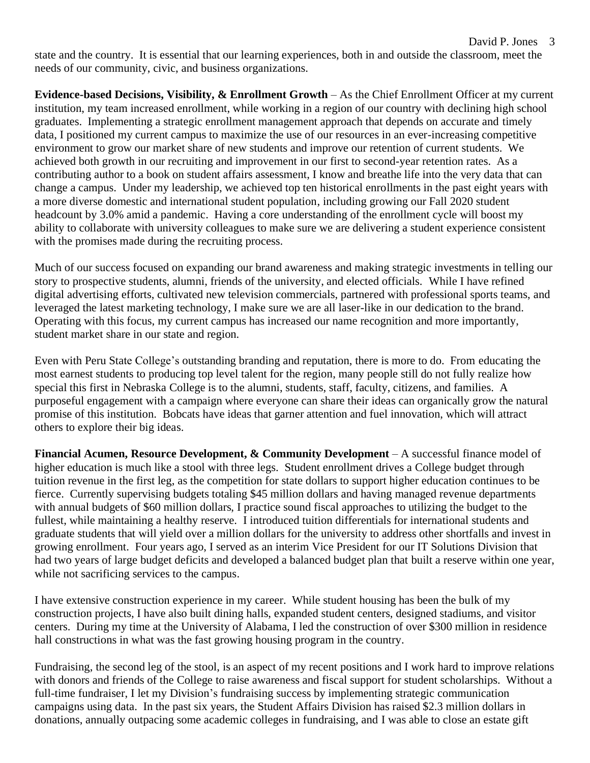state and the country. It is essential that our learning experiences, both in and outside the classroom, meet the needs of our community, civic, and business organizations.

**Evidence-based Decisions, Visibility, & Enrollment Growth** – As the Chief Enrollment Officer at my current institution, my team increased enrollment, while working in a region of our country with declining high school graduates. Implementing a strategic enrollment management approach that depends on accurate and timely data, I positioned my current campus to maximize the use of our resources in an ever-increasing competitive environment to grow our market share of new students and improve our retention of current students. We achieved both growth in our recruiting and improvement in our first to second-year retention rates. As a contributing author to a book on student affairs assessment, I know and breathe life into the very data that can change a campus. Under my leadership, we achieved top ten historical enrollments in the past eight years with a more diverse domestic and international student population, including growing our Fall 2020 student headcount by 3.0% amid a pandemic. Having a core understanding of the enrollment cycle will boost my ability to collaborate with university colleagues to make sure we are delivering a student experience consistent with the promises made during the recruiting process.

Much of our success focused on expanding our brand awareness and making strategic investments in telling our story to prospective students, alumni, friends of the university, and elected officials. While I have refined digital advertising efforts, cultivated new television commercials, partnered with professional sports teams, and leveraged the latest marketing technology, I make sure we are all laser-like in our dedication to the brand. Operating with this focus, my current campus has increased our name recognition and more importantly, student market share in our state and region.

Even with Peru State College's outstanding branding and reputation, there is more to do. From educating the most earnest students to producing top level talent for the region, many people still do not fully realize how special this first in Nebraska College is to the alumni, students, staff, faculty, citizens, and families. A purposeful engagement with a campaign where everyone can share their ideas can organically grow the natural promise of this institution. Bobcats have ideas that garner attention and fuel innovation, which will attract others to explore their big ideas.

**Financial Acumen, Resource Development, & Community Development** – A successful finance model of higher education is much like a stool with three legs. Student enrollment drives a College budget through tuition revenue in the first leg, as the competition for state dollars to support higher education continues to be fierce. Currently supervising budgets totaling \$45 million dollars and having managed revenue departments with annual budgets of \$60 million dollars, I practice sound fiscal approaches to utilizing the budget to the fullest, while maintaining a healthy reserve. I introduced tuition differentials for international students and graduate students that will yield over a million dollars for the university to address other shortfalls and invest in growing enrollment. Four years ago, I served as an interim Vice President for our IT Solutions Division that had two years of large budget deficits and developed a balanced budget plan that built a reserve within one year, while not sacrificing services to the campus.

I have extensive construction experience in my career. While student housing has been the bulk of my construction projects, I have also built dining halls, expanded student centers, designed stadiums, and visitor centers. During my time at the University of Alabama, I led the construction of over \$300 million in residence hall constructions in what was the fast growing housing program in the country.

Fundraising, the second leg of the stool, is an aspect of my recent positions and I work hard to improve relations with donors and friends of the College to raise awareness and fiscal support for student scholarships. Without a full-time fundraiser, I let my Division's fundraising success by implementing strategic communication campaigns using data. In the past six years, the Student Affairs Division has raised \$2.3 million dollars in donations, annually outpacing some academic colleges in fundraising, and I was able to close an estate gift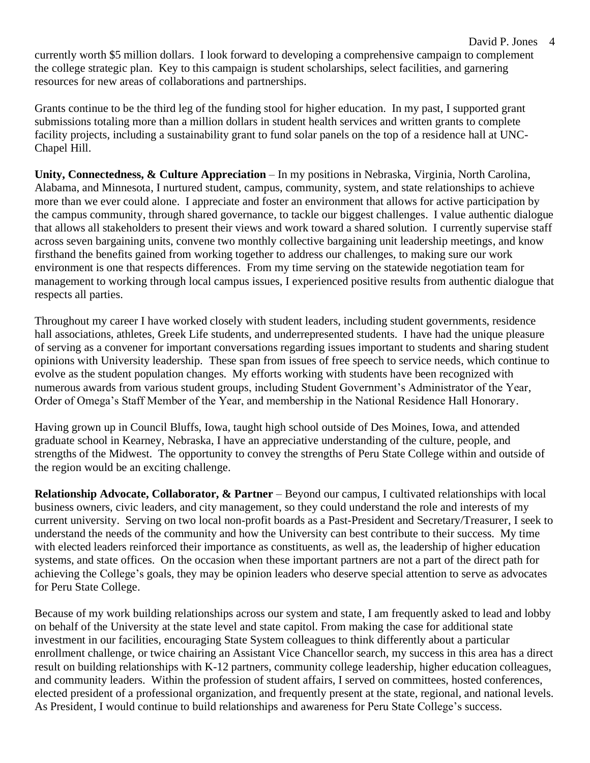currently worth \$5 million dollars. I look forward to developing a comprehensive campaign to complement the college strategic plan. Key to this campaign is student scholarships, select facilities, and garnering resources for new areas of collaborations and partnerships.

David P. Jones 4

Grants continue to be the third leg of the funding stool for higher education. In my past, I supported grant submissions totaling more than a million dollars in student health services and written grants to complete facility projects, including a sustainability grant to fund solar panels on the top of a residence hall at UNC-Chapel Hill.

**Unity, Connectedness, & Culture Appreciation** – In my positions in Nebraska, Virginia, North Carolina, Alabama, and Minnesota, I nurtured student, campus, community, system, and state relationships to achieve more than we ever could alone. I appreciate and foster an environment that allows for active participation by the campus community, through shared governance, to tackle our biggest challenges. I value authentic dialogue that allows all stakeholders to present their views and work toward a shared solution. I currently supervise staff across seven bargaining units, convene two monthly collective bargaining unit leadership meetings, and know firsthand the benefits gained from working together to address our challenges, to making sure our work environment is one that respects differences. From my time serving on the statewide negotiation team for management to working through local campus issues, I experienced positive results from authentic dialogue that respects all parties.

Throughout my career I have worked closely with student leaders, including student governments, residence hall associations, athletes, Greek Life students, and underrepresented students. I have had the unique pleasure of serving as a convener for important conversations regarding issues important to students and sharing student opinions with University leadership. These span from issues of free speech to service needs, which continue to evolve as the student population changes. My efforts working with students have been recognized with numerous awards from various student groups, including Student Government's Administrator of the Year, Order of Omega's Staff Member of the Year, and membership in the National Residence Hall Honorary.

Having grown up in Council Bluffs, Iowa, taught high school outside of Des Moines, Iowa, and attended graduate school in Kearney, Nebraska, I have an appreciative understanding of the culture, people, and strengths of the Midwest. The opportunity to convey the strengths of Peru State College within and outside of the region would be an exciting challenge.

**Relationship Advocate, Collaborator, & Partner** – Beyond our campus, I cultivated relationships with local business owners, civic leaders, and city management, so they could understand the role and interests of my current university. Serving on two local non-profit boards as a Past-President and Secretary/Treasurer, I seek to understand the needs of the community and how the University can best contribute to their success. My time with elected leaders reinforced their importance as constituents, as well as, the leadership of higher education systems, and state offices. On the occasion when these important partners are not a part of the direct path for achieving the College's goals, they may be opinion leaders who deserve special attention to serve as advocates for Peru State College.

Because of my work building relationships across our system and state, I am frequently asked to lead and lobby on behalf of the University at the state level and state capitol. From making the case for additional state investment in our facilities, encouraging State System colleagues to think differently about a particular enrollment challenge, or twice chairing an Assistant Vice Chancellor search, my success in this area has a direct result on building relationships with K-12 partners, community college leadership, higher education colleagues, and community leaders. Within the profession of student affairs, I served on committees, hosted conferences, elected president of a professional organization, and frequently present at the state, regional, and national levels. As President, I would continue to build relationships and awareness for Peru State College's success.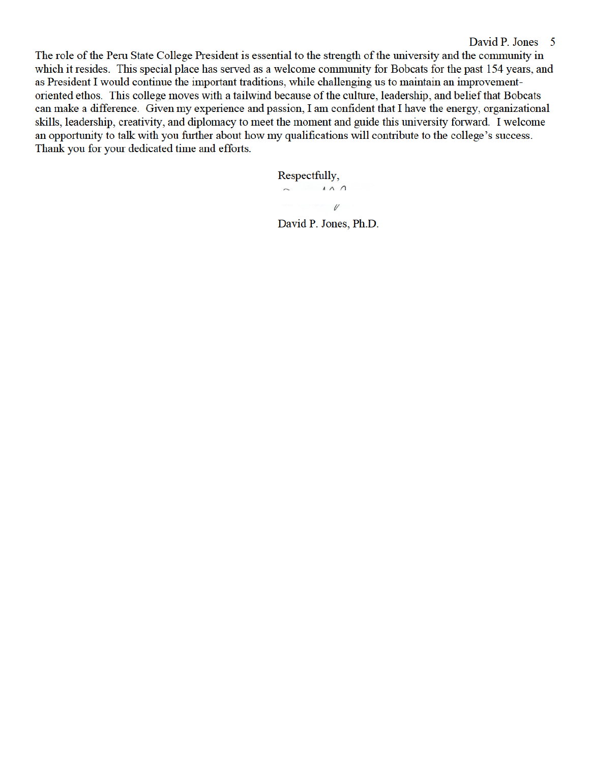The role of the Peru State College President is essential to the strength of the university and the community in which it resides. This special place has served as a welcome community for Bobcats for the past 154 years, and as President I would continue the important traditions, while challenging us to maintain an improvementoriented ethos. This college moves with a tailwind because of the culture, leadership, and belief that Bobcats can make a difference. Given my experience and passion, I am confident that I have the energy, organizational skills, leadership, creativity, and diplomacy to meet the moment and guide this university forward. I welcome an opportunity to talk with you further about how my qualifications will contribute to the college's success. Thank you for your dedicated time and efforts.

> Respectfully,  $\sim$   $\sqrt{10}$  $\mathscr{U}$

David P. Jones, Ph.D.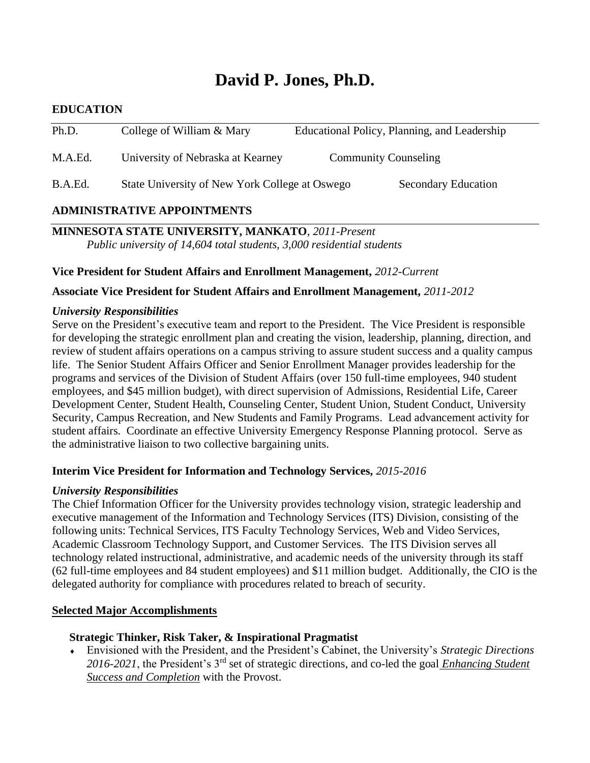# **David P. Jones, Ph.D.**

# **EDUCATION**

| Ph.D.   | College of William & Mary                      | Educational Policy, Planning, and Leadership |
|---------|------------------------------------------------|----------------------------------------------|
| M.A.Ed. | University of Nebraska at Kearney              | <b>Community Counseling</b>                  |
| B.A.Ed. | State University of New York College at Oswego | <b>Secondary Education</b>                   |

# **ADMINISTRATIVE APPOINTMENTS**

**MINNESOTA STATE UNIVERSITY, MANKATO**, *2011-Present Public university of 14,604 total students, 3,000 residential students*

**Vice President for Student Affairs and Enrollment Management,** *2012-Current*

**Associate Vice President for Student Affairs and Enrollment Management,** *2011-2012*

### *University Responsibilities*

Serve on the President's executive team and report to the President. The Vice President is responsible for developing the strategic enrollment plan and creating the vision, leadership, planning, direction, and review of student affairs operations on a campus striving to assure student success and a quality campus life. The Senior Student Affairs Officer and Senior Enrollment Manager provides leadership for the programs and services of the Division of Student Affairs (over 150 full-time employees, 940 student employees, and \$45 million budget), with direct supervision of Admissions, Residential Life, Career Development Center, Student Health, Counseling Center, Student Union, Student Conduct, University Security, Campus Recreation, and New Students and Family Programs. Lead advancement activity for student affairs. Coordinate an effective University Emergency Response Planning protocol. Serve as the administrative liaison to two collective bargaining units.

### **Interim Vice President for Information and Technology Services,** *2015-2016*

# *University Responsibilities*

The Chief Information Officer for the University provides technology vision, strategic leadership and executive management of the Information and Technology Services (ITS) Division, consisting of the following units: Technical Services, ITS Faculty Technology Services, Web and Video Services, Academic Classroom Technology Support, and Customer Services. The ITS Division serves all technology related instructional, administrative, and academic needs of the university through its staff (62 full-time employees and 84 student employees) and \$11 million budget. Additionally, the CIO is the delegated authority for compliance with procedures related to breach of security.

### **Selected Major Accomplishments**

# **Strategic Thinker, Risk Taker, & Inspirational Pragmatist**

 Envisioned with the President, and the President's Cabinet, the University's *Strategic Directions 2016-2021*, the President's 3rd set of strategic directions, and co-led the goal *Enhancing Student Success and Completion* with the Provost.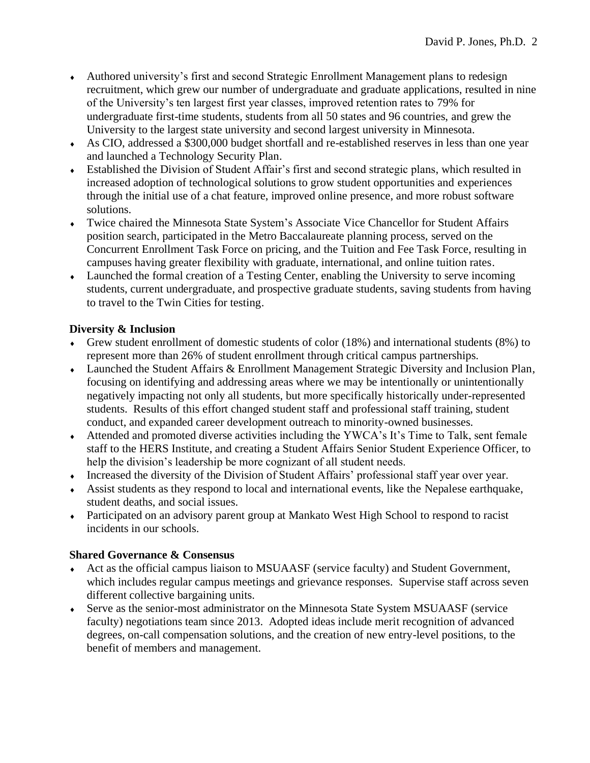- Authored university's first and second Strategic Enrollment Management plans to redesign recruitment, which grew our number of undergraduate and graduate applications, resulted in nine of the University's ten largest first year classes, improved retention rates to 79% for undergraduate first-time students, students from all 50 states and 96 countries, and grew the University to the largest state university and second largest university in Minnesota.
- As CIO, addressed a \$300,000 budget shortfall and re-established reserves in less than one year and launched a Technology Security Plan.
- Established the Division of Student Affair's first and second strategic plans, which resulted in increased adoption of technological solutions to grow student opportunities and experiences through the initial use of a chat feature, improved online presence, and more robust software solutions.
- Twice chaired the Minnesota State System's Associate Vice Chancellor for Student Affairs position search, participated in the Metro Baccalaureate planning process, served on the Concurrent Enrollment Task Force on pricing, and the Tuition and Fee Task Force, resulting in campuses having greater flexibility with graduate, international, and online tuition rates.
- Launched the formal creation of a Testing Center, enabling the University to serve incoming students, current undergraduate, and prospective graduate students, saving students from having to travel to the Twin Cities for testing.

# **Diversity & Inclusion**

- Grew student enrollment of domestic students of color (18%) and international students (8%) to represent more than 26% of student enrollment through critical campus partnerships.
- Launched the Student Affairs & Enrollment Management Strategic Diversity and Inclusion Plan, focusing on identifying and addressing areas where we may be intentionally or unintentionally negatively impacting not only all students, but more specifically historically under-represented students. Results of this effort changed student staff and professional staff training, student conduct, and expanded career development outreach to minority-owned businesses.
- Attended and promoted diverse activities including the YWCA's It's Time to Talk, sent female staff to the HERS Institute, and creating a Student Affairs Senior Student Experience Officer, to help the division's leadership be more cognizant of all student needs.
- Increased the diversity of the Division of Student Affairs' professional staff year over year.
- Assist students as they respond to local and international events, like the Nepalese earthquake, student deaths, and social issues.
- Participated on an advisory parent group at Mankato West High School to respond to racist incidents in our schools.

# **Shared Governance & Consensus**

- Act as the official campus liaison to MSUAASF (service faculty) and Student Government, which includes regular campus meetings and grievance responses. Supervise staff across seven different collective bargaining units.
- Serve as the senior-most administrator on the Minnesota State System MSUAASF (service faculty) negotiations team since 2013. Adopted ideas include merit recognition of advanced degrees, on-call compensation solutions, and the creation of new entry-level positions, to the benefit of members and management.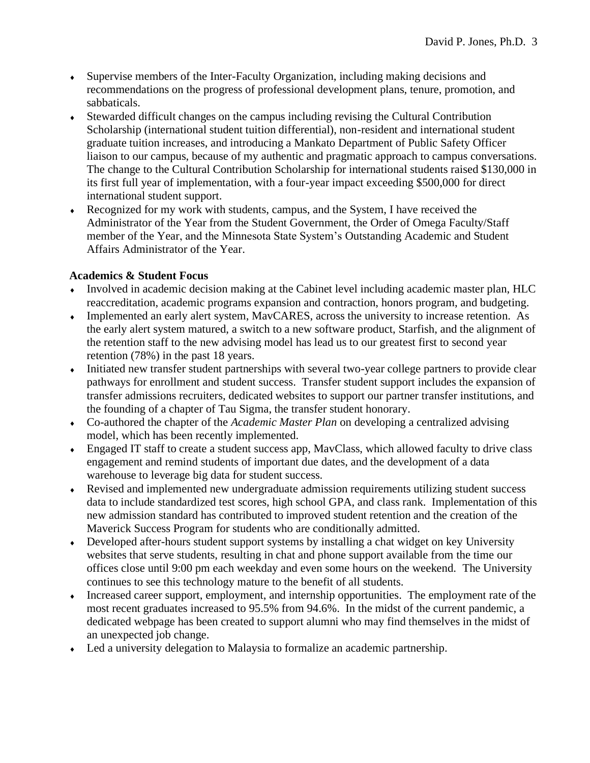- Supervise members of the Inter-Faculty Organization, including making decisions and recommendations on the progress of professional development plans, tenure, promotion, and sabbaticals.
- Stewarded difficult changes on the campus including revising the Cultural Contribution Scholarship (international student tuition differential), non-resident and international student graduate tuition increases, and introducing a Mankato Department of Public Safety Officer liaison to our campus, because of my authentic and pragmatic approach to campus conversations. The change to the Cultural Contribution Scholarship for international students raised \$130,000 in its first full year of implementation, with a four-year impact exceeding \$500,000 for direct international student support.
- Recognized for my work with students, campus, and the System, I have received the Administrator of the Year from the Student Government, the Order of Omega Faculty/Staff member of the Year, and the Minnesota State System's Outstanding Academic and Student Affairs Administrator of the Year.

# **Academics & Student Focus**

- Involved in academic decision making at the Cabinet level including academic master plan, HLC reaccreditation, academic programs expansion and contraction, honors program, and budgeting.
- Implemented an early alert system, MavCARES, across the university to increase retention. As the early alert system matured, a switch to a new software product, Starfish, and the alignment of the retention staff to the new advising model has lead us to our greatest first to second year retention (78%) in the past 18 years.
- Initiated new transfer student partnerships with several two-year college partners to provide clear pathways for enrollment and student success. Transfer student support includes the expansion of transfer admissions recruiters, dedicated websites to support our partner transfer institutions, and the founding of a chapter of Tau Sigma, the transfer student honorary.
- Co-authored the chapter of the *Academic Master Plan* on developing a centralized advising model, which has been recently implemented.
- Engaged IT staff to create a student success app, MavClass, which allowed faculty to drive class engagement and remind students of important due dates, and the development of a data warehouse to leverage big data for student success.
- Revised and implemented new undergraduate admission requirements utilizing student success data to include standardized test scores, high school GPA, and class rank. Implementation of this new admission standard has contributed to improved student retention and the creation of the Maverick Success Program for students who are conditionally admitted.
- Developed after-hours student support systems by installing a chat widget on key University websites that serve students, resulting in chat and phone support available from the time our offices close until 9:00 pm each weekday and even some hours on the weekend. The University continues to see this technology mature to the benefit of all students.
- Increased career support, employment, and internship opportunities. The employment rate of the most recent graduates increased to 95.5% from 94.6%. In the midst of the current pandemic, a dedicated webpage has been created to support alumni who may find themselves in the midst of an unexpected job change.
- Led a university delegation to Malaysia to formalize an academic partnership.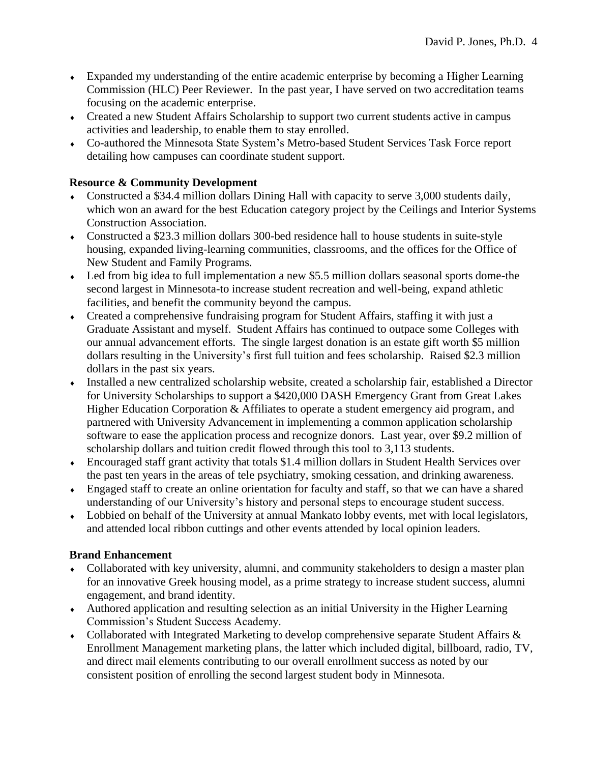- Expanded my understanding of the entire academic enterprise by becoming a Higher Learning Commission (HLC) Peer Reviewer. In the past year, I have served on two accreditation teams focusing on the academic enterprise.
- Created a new Student Affairs Scholarship to support two current students active in campus activities and leadership, to enable them to stay enrolled.
- Co-authored the Minnesota State System's Metro-based Student Services Task Force report detailing how campuses can coordinate student support.

# **Resource & Community Development**

- Constructed a \$34.4 million dollars Dining Hall with capacity to serve 3,000 students daily, which won an award for the best Education category project by the Ceilings and Interior Systems Construction Association.
- Constructed a \$23.3 million dollars 300-bed residence hall to house students in suite-style housing, expanded living-learning communities, classrooms, and the offices for the Office of New Student and Family Programs.
- Led from big idea to full implementation a new \$5.5 million dollars seasonal sports dome-the second largest in Minnesota-to increase student recreation and well-being, expand athletic facilities, and benefit the community beyond the campus.
- Created a comprehensive fundraising program for Student Affairs, staffing it with just a Graduate Assistant and myself. Student Affairs has continued to outpace some Colleges with our annual advancement efforts. The single largest donation is an estate gift worth \$5 million dollars resulting in the University's first full tuition and fees scholarship. Raised \$2.3 million dollars in the past six years.
- Installed a new centralized scholarship website, created a scholarship fair, established a Director for University Scholarships to support a \$420,000 DASH Emergency Grant from Great Lakes Higher Education Corporation & Affiliates to operate a student emergency aid program, and partnered with University Advancement in implementing a common application scholarship software to ease the application process and recognize donors. Last year, over \$9.2 million of scholarship dollars and tuition credit flowed through this tool to 3,113 students.
- Encouraged staff grant activity that totals \$1.4 million dollars in Student Health Services over the past ten years in the areas of tele psychiatry, smoking cessation, and drinking awareness.
- Engaged staff to create an online orientation for faculty and staff, so that we can have a shared understanding of our University's history and personal steps to encourage student success.
- Lobbied on behalf of the University at annual Mankato lobby events, met with local legislators, and attended local ribbon cuttings and other events attended by local opinion leaders.

# **Brand Enhancement**

- Collaborated with key university, alumni, and community stakeholders to design a master plan for an innovative Greek housing model, as a prime strategy to increase student success, alumni engagement, and brand identity.
- Authored application and resulting selection as an initial University in the Higher Learning Commission's Student Success Academy.
- Collaborated with Integrated Marketing to develop comprehensive separate Student Affairs & Enrollment Management marketing plans, the latter which included digital, billboard, radio, TV, and direct mail elements contributing to our overall enrollment success as noted by our consistent position of enrolling the second largest student body in Minnesota.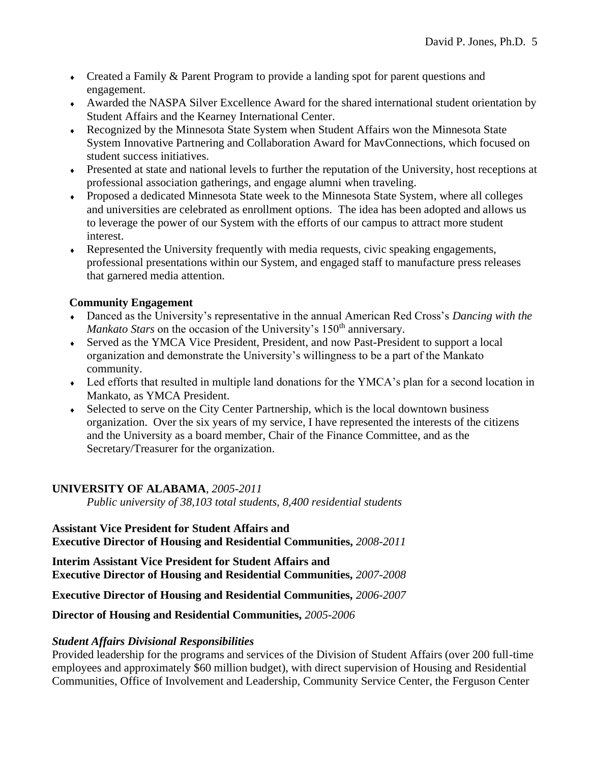- Created a Family & Parent Program to provide a landing spot for parent questions and engagement.
- Awarded the NASPA Silver Excellence Award for the shared international student orientation by Student Affairs and the Kearney International Center.
- Recognized by the Minnesota State System when Student Affairs won the Minnesota State System Innovative Partnering and Collaboration Award for MavConnections, which focused on student success initiatives.
- Presented at state and national levels to further the reputation of the University, host receptions at professional association gatherings, and engage alumni when traveling.
- Proposed a dedicated Minnesota State week to the Minnesota State System, where all colleges and universities are celebrated as enrollment options. The idea has been adopted and allows us to leverage the power of our System with the efforts of our campus to attract more student interest.
- Represented the University frequently with media requests, civic speaking engagements, professional presentations within our System, and engaged staff to manufacture press releases that garnered media attention.

# **Community Engagement**

- Danced as the University's representative in the annual American Red Cross's *Dancing with the Mankato Stars* on the occasion of the University's 150<sup>th</sup> anniversary.
- Served as the YMCA Vice President, President, and now Past-President to support a local organization and demonstrate the University's willingness to be a part of the Mankato community.
- Led efforts that resulted in multiple land donations for the YMCA's plan for a second location in Mankato, as YMCA President.
- Selected to serve on the City Center Partnership, which is the local downtown business organization. Over the six years of my service, I have represented the interests of the citizens and the University as a board member, Chair of the Finance Committee, and as the Secretary/Treasurer for the organization.

# **UNIVERSITY OF ALABAMA**, *2005-2011*

*Public university of 38,103 total students, 8,400 residential students*

### **Assistant Vice President for Student Affairs and Executive Director of Housing and Residential Communities,** *2008-2011*

**Interim Assistant Vice President for Student Affairs and Executive Director of Housing and Residential Communities,** *2007-2008*

**Executive Director of Housing and Residential Communities,** *2006-2007*

# **Director of Housing and Residential Communities,** *2005-2006*

# *Student Affairs Divisional Responsibilities*

Provided leadership for the programs and services of the Division of Student Affairs (over 200 full-time employees and approximately \$60 million budget), with direct supervision of Housing and Residential Communities, Office of Involvement and Leadership, Community Service Center, the Ferguson Center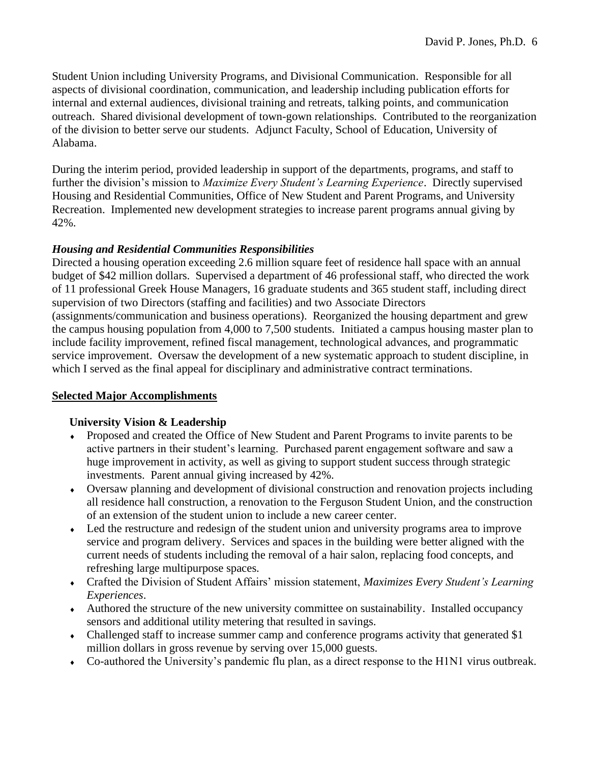Student Union including University Programs, and Divisional Communication. Responsible for all aspects of divisional coordination, communication, and leadership including publication efforts for internal and external audiences, divisional training and retreats, talking points, and communication outreach. Shared divisional development of town-gown relationships. Contributed to the reorganization of the division to better serve our students. Adjunct Faculty, School of Education, University of Alabama.

During the interim period, provided leadership in support of the departments, programs, and staff to further the division's mission to *Maximize Every Student's Learning Experience*. Directly supervised Housing and Residential Communities, Office of New Student and Parent Programs, and University Recreation. Implemented new development strategies to increase parent programs annual giving by 42%.

# *Housing and Residential Communities Responsibilities*

Directed a housing operation exceeding 2.6 million square feet of residence hall space with an annual budget of \$42 million dollars. Supervised a department of 46 professional staff, who directed the work of 11 professional Greek House Managers, 16 graduate students and 365 student staff, including direct supervision of two Directors (staffing and facilities) and two Associate Directors (assignments/communication and business operations). Reorganized the housing department and grew the campus housing population from 4,000 to 7,500 students. Initiated a campus housing master plan to include facility improvement, refined fiscal management, technological advances, and programmatic service improvement. Oversaw the development of a new systematic approach to student discipline, in which I served as the final appeal for disciplinary and administrative contract terminations.

### **Selected Major Accomplishments**

### **University Vision & Leadership**

- Proposed and created the Office of New Student and Parent Programs to invite parents to be active partners in their student's learning. Purchased parent engagement software and saw a huge improvement in activity, as well as giving to support student success through strategic investments. Parent annual giving increased by 42%.
- Oversaw planning and development of divisional construction and renovation projects including all residence hall construction, a renovation to the Ferguson Student Union, and the construction of an extension of the student union to include a new career center.
- Led the restructure and redesign of the student union and university programs area to improve service and program delivery. Services and spaces in the building were better aligned with the current needs of students including the removal of a hair salon, replacing food concepts, and refreshing large multipurpose spaces.
- Crafted the Division of Student Affairs' mission statement, *Maximizes Every Student's Learning Experiences*.
- Authored the structure of the new university committee on sustainability. Installed occupancy sensors and additional utility metering that resulted in savings.
- Challenged staff to increase summer camp and conference programs activity that generated \$1 million dollars in gross revenue by serving over 15,000 guests.
- Co-authored the University's pandemic flu plan, as a direct response to the H1N1 virus outbreak.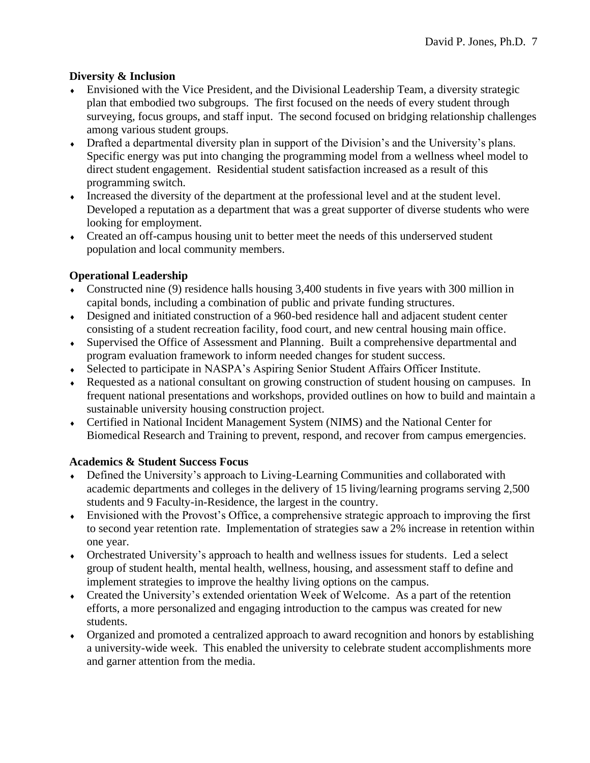# **Diversity & Inclusion**

- Envisioned with the Vice President, and the Divisional Leadership Team, a diversity strategic plan that embodied two subgroups. The first focused on the needs of every student through surveying, focus groups, and staff input. The second focused on bridging relationship challenges among various student groups.
- Drafted a departmental diversity plan in support of the Division's and the University's plans. Specific energy was put into changing the programming model from a wellness wheel model to direct student engagement. Residential student satisfaction increased as a result of this programming switch.
- Increased the diversity of the department at the professional level and at the student level. Developed a reputation as a department that was a great supporter of diverse students who were looking for employment.
- Created an off-campus housing unit to better meet the needs of this underserved student population and local community members.

# **Operational Leadership**

- Constructed nine (9) residence halls housing 3,400 students in five years with 300 million in capital bonds, including a combination of public and private funding structures.
- Designed and initiated construction of a 960-bed residence hall and adjacent student center consisting of a student recreation facility, food court, and new central housing main office.
- Supervised the Office of Assessment and Planning. Built a comprehensive departmental and program evaluation framework to inform needed changes for student success.
- Selected to participate in NASPA's Aspiring Senior Student Affairs Officer Institute.
- Requested as a national consultant on growing construction of student housing on campuses. In frequent national presentations and workshops, provided outlines on how to build and maintain a sustainable university housing construction project.
- Certified in National Incident Management System (NIMS) and the National Center for Biomedical Research and Training to prevent, respond, and recover from campus emergencies.

# **Academics & Student Success Focus**

- Defined the University's approach to Living-Learning Communities and collaborated with academic departments and colleges in the delivery of 15 living/learning programs serving 2,500 students and 9 Faculty-in-Residence, the largest in the country.
- Envisioned with the Provost's Office, a comprehensive strategic approach to improving the first to second year retention rate. Implementation of strategies saw a 2% increase in retention within one year.
- Orchestrated University's approach to health and wellness issues for students. Led a select group of student health, mental health, wellness, housing, and assessment staff to define and implement strategies to improve the healthy living options on the campus.
- Created the University's extended orientation Week of Welcome. As a part of the retention efforts, a more personalized and engaging introduction to the campus was created for new students.
- Organized and promoted a centralized approach to award recognition and honors by establishing a university-wide week. This enabled the university to celebrate student accomplishments more and garner attention from the media.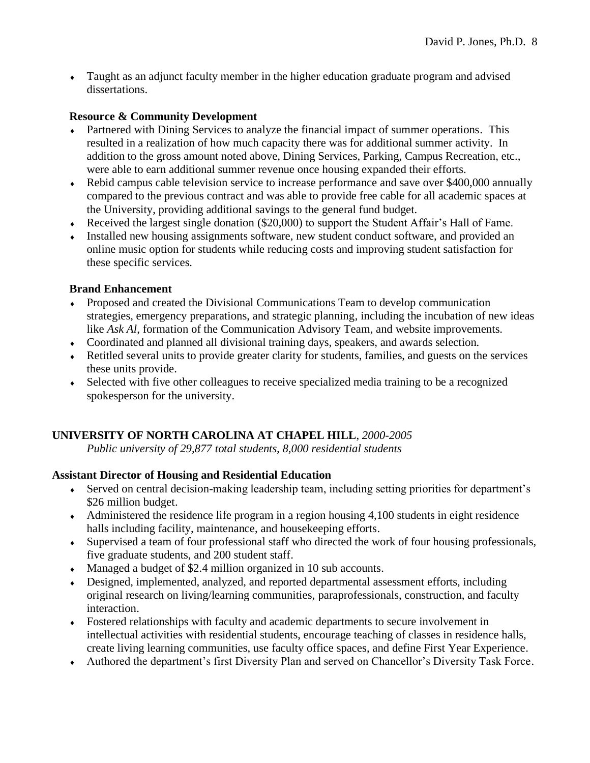Taught as an adjunct faculty member in the higher education graduate program and advised dissertations.

# **Resource & Community Development**

- Partnered with Dining Services to analyze the financial impact of summer operations. This resulted in a realization of how much capacity there was for additional summer activity. In addition to the gross amount noted above, Dining Services, Parking, Campus Recreation, etc., were able to earn additional summer revenue once housing expanded their efforts.
- Rebid campus cable television service to increase performance and save over \$400,000 annually compared to the previous contract and was able to provide free cable for all academic spaces at the University, providing additional savings to the general fund budget.
- Received the largest single donation (\$20,000) to support the Student Affair's Hall of Fame.
- Installed new housing assignments software, new student conduct software, and provided an online music option for students while reducing costs and improving student satisfaction for these specific services.

# **Brand Enhancement**

- Proposed and created the Divisional Communications Team to develop communication strategies, emergency preparations, and strategic planning, including the incubation of new ideas like *Ask Al*, formation of the Communication Advisory Team, and website improvements.
- Coordinated and planned all divisional training days, speakers, and awards selection.
- Retitled several units to provide greater clarity for students, families, and guests on the services these units provide.
- Selected with five other colleagues to receive specialized media training to be a recognized spokesperson for the university.

# **UNIVERSITY OF NORTH CAROLINA AT CHAPEL HILL**, *2000-2005*

*Public university of 29,877 total students, 8,000 residential students*

# **Assistant Director of Housing and Residential Education**

- Served on central decision-making leadership team, including setting priorities for department's \$26 million budget.
- $\blacklozenge$  Administered the residence life program in a region housing 4,100 students in eight residence halls including facility, maintenance, and housekeeping efforts.
- Supervised a team of four professional staff who directed the work of four housing professionals, five graduate students, and 200 student staff.
- Managed a budget of \$2.4 million organized in 10 sub accounts.
- Designed, implemented, analyzed, and reported departmental assessment efforts, including original research on living/learning communities, paraprofessionals, construction, and faculty interaction.
- Fostered relationships with faculty and academic departments to secure involvement in intellectual activities with residential students, encourage teaching of classes in residence halls, create living learning communities, use faculty office spaces, and define First Year Experience.
- Authored the department's first Diversity Plan and served on Chancellor's Diversity Task Force.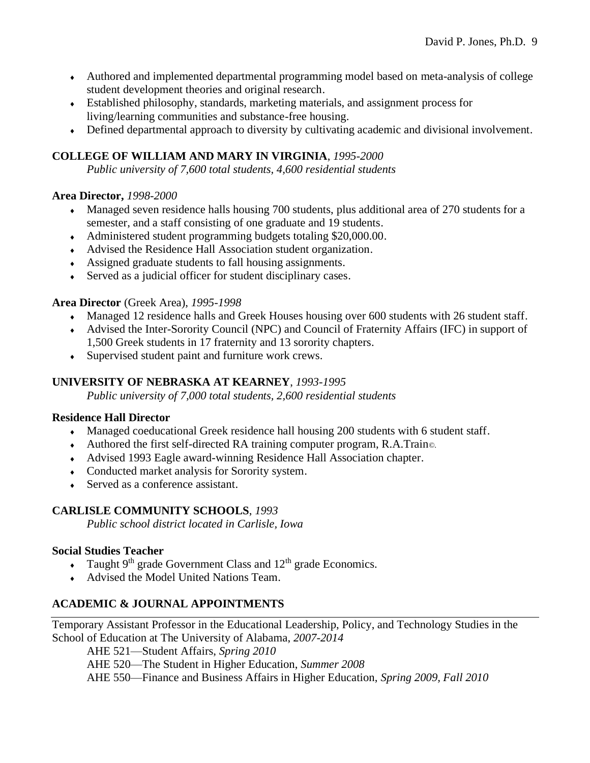- Authored and implemented departmental programming model based on meta-analysis of college student development theories and original research.
- Established philosophy, standards, marketing materials, and assignment process for living/learning communities and substance-free housing.
- Defined departmental approach to diversity by cultivating academic and divisional involvement.

# **COLLEGE OF WILLIAM AND MARY IN VIRGINIA**, *1995-2000*

*Public university of 7,600 total students, 4,600 residential students*

# **Area Director,** *1998-2000*

- Managed seven residence halls housing 700 students, plus additional area of 270 students for a semester, and a staff consisting of one graduate and 19 students.
- Administered student programming budgets totaling \$20,000.00.
- Advised the Residence Hall Association student organization.
- Assigned graduate students to fall housing assignments.
- Served as a judicial officer for student disciplinary cases.

# **Area Director** (Greek Area), *1995-1998*

- Managed 12 residence halls and Greek Houses housing over 600 students with 26 student staff.
- Advised the Inter-Sorority Council (NPC) and Council of Fraternity Affairs (IFC) in support of 1,500 Greek students in 17 fraternity and 13 sorority chapters.
- Supervised student paint and furniture work crews.

# **UNIVERSITY OF NEBRASKA AT KEARNEY**, *1993-1995*

*Public university of 7,000 total students, 2,600 residential students*

# **Residence Hall Director**

- Managed coeducational Greek residence hall housing 200 students with 6 student staff.
- Authored the first self-directed RA training computer program, R.A.Train*©*.
- Advised 1993 Eagle award-winning Residence Hall Association chapter.
- Conducted market analysis for Sorority system.
- Served as a conference assistant.

# **CARLISLE COMMUNITY SCHOOLS**, *1993*

*Public school district located in Carlisle, Iowa*

# **Social Studies Teacher**

- Taught  $9<sup>th</sup>$  grade Government Class and  $12<sup>th</sup>$  grade Economics.
- Advised the Model United Nations Team.

# **ACADEMIC & JOURNAL APPOINTMENTS**

Temporary Assistant Professor in the Educational Leadership, Policy, and Technology Studies in the School of Education at The University of Alabama, *2007-2014*

AHE 521—Student Affairs, *Spring 2010*

AHE 520—The Student in Higher Education, *Summer 2008*

AHE 550—Finance and Business Affairs in Higher Education, *Spring 2009, Fall 2010*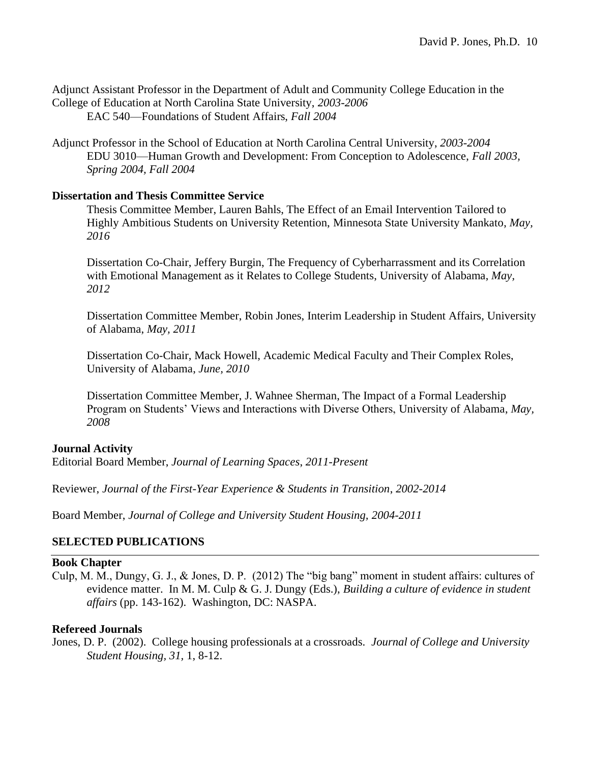Adjunct Assistant Professor in the Department of Adult and Community College Education in the College of Education at North Carolina State University, *2003-2006* EAC 540—Foundations of Student Affairs, *Fall 2004*

Adjunct Professor in the School of Education at North Carolina Central University, *2003-2004* EDU 3010—Human Growth and Development: From Conception to Adolescence, *Fall 2003, Spring 2004, Fall 2004*

### **Dissertation and Thesis Committee Service**

Thesis Committee Member, Lauren Bahls, The Effect of an Email Intervention Tailored to Highly Ambitious Students on University Retention, Minnesota State University Mankato, *May, 2016*

Dissertation Co-Chair, Jeffery Burgin, The Frequency of Cyberharrassment and its Correlation with Emotional Management as it Relates to College Students, University of Alabama, *May, 2012*

Dissertation Committee Member, Robin Jones, Interim Leadership in Student Affairs*,* University of Alabama, *May, 2011*

Dissertation Co-Chair, Mack Howell, Academic Medical Faculty and Their Complex Roles, University of Alabama, *June, 2010*

Dissertation Committee Member, J. Wahnee Sherman, The Impact of a Formal Leadership Program on Students' Views and Interactions with Diverse Others, University of Alabama, *May, 2008*

### **Journal Activity**

Editorial Board Member, *Journal of Learning Spaces*, *2011-Present*

Reviewer, *Journal of the First-Year Experience & Students in Transition*, *2002-2014*

Board Member, *Journal of College and University Student Housing, 2004-2011*

# **SELECTED PUBLICATIONS**

### **Book Chapter**

Culp, M. M., Dungy, G. J., & Jones, D. P. (2012) The "big bang" moment in student affairs: cultures of evidence matter. In M. M. Culp & G. J. Dungy (Eds.), *Building a culture of evidence in student affairs* (pp. 143-162). Washington, DC: NASPA.

### **Refereed Journals**

Jones, D. P. (2002). College housing professionals at a crossroads. *Journal of College and University Student Housing, 31,* 1, 8-12.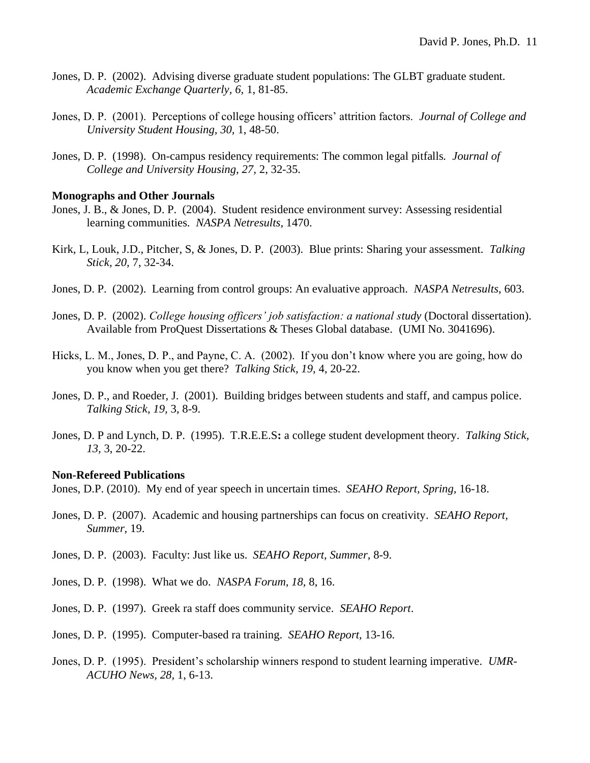- Jones, D. P. (2002). Advising diverse graduate student populations: The GLBT graduate student. *Academic Exchange Quarterly, 6,* 1, 81-85.
- Jones, D. P. (2001). Perceptions of college housing officers' attrition factors. *Journal of College and University Student Housing, 30,* 1, 48-50.
- Jones, D. P. (1998). On-campus residency requirements: The common legal pitfalls. *Journal of College and University Housing, 27,* 2, 32-35.

#### **Monographs and Other Journals**

- Jones, J. B., & Jones, D. P. (2004). Student residence environment survey: Assessing residential learning communities. *NASPA Netresults*, 1470.
- Kirk, L, Louk, J.D., Pitcher, S, & Jones, D. P. (2003). Blue prints: Sharing your assessment. *Talking Stick, 20,* 7, 32-34.
- Jones, D. P. (2002). Learning from control groups: An evaluative approach. *NASPA Netresults*, 603.
- Jones, D. P. (2002). *College housing officers' job satisfaction: a national study* (Doctoral dissertation). Available from ProQuest Dissertations & Theses Global database. (UMI No. 3041696).
- Hicks, L. M., Jones, D. P., and Payne, C. A. (2002). If you don't know where you are going, how do you know when you get there? *Talking Stick, 19,* 4, 20-22.
- Jones, D. P., and Roeder, J. (2001). Building bridges between students and staff, and campus police. *Talking Stick, 19,* 3, 8-9.
- Jones, D. P and Lynch, D. P. (1995). T.R.E.E.S**:** a college student development theory. *Talking Stick, 13,* 3, 20-22.

#### **Non-Refereed Publications**

Jones, D.P. (2010). My end of year speech in uncertain times. *SEAHO Report, Spring,* 16-18.

- Jones, D. P. (2007). Academic and housing partnerships can focus on creativity. *SEAHO Report, Summer,* 19.
- Jones, D. P. (2003). Faculty: Just like us. *SEAHO Report, Summer,* 8-9.
- Jones, D. P. (1998). What we do. *NASPA Forum, 18,* 8, 16.
- Jones, D. P. (1997). Greek ra staff does community service. *SEAHO Report*.
- Jones, D. P. (1995). Computer-based ra training. *SEAHO Report,* 13-16.
- Jones, D. P. (1995). President's scholarship winners respond to student learning imperative. *UMR-ACUHO News, 28,* 1, 6-13.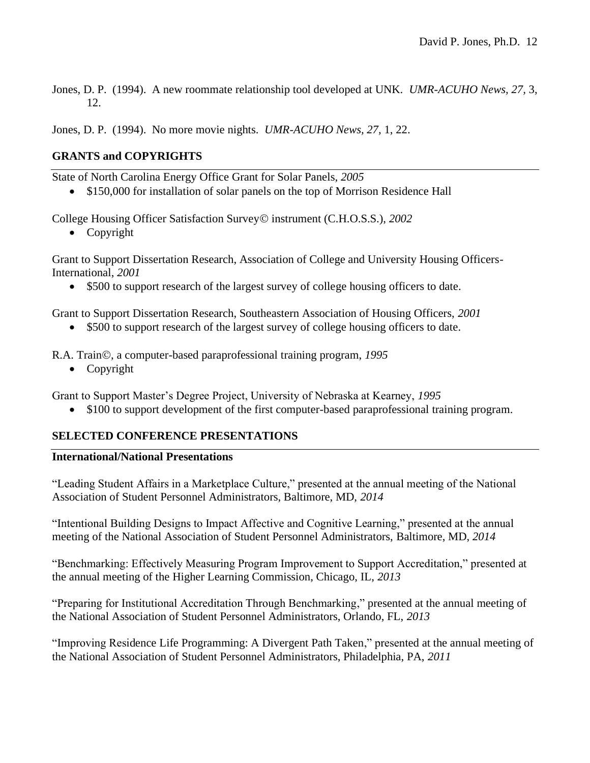Jones, D. P. (1994). A new roommate relationship tool developed at UNK. *UMR-ACUHO News, 27,* 3, 12.

Jones, D. P. (1994). No more movie nights. *UMR-ACUHO News, 27,* 1, 22.

# **GRANTS and COPYRIGHTS**

State of North Carolina Energy Office Grant for Solar Panels, *2005*

• \$150,000 for installation of solar panels on the top of Morrison Residence Hall

College Housing Officer Satisfaction Survey© instrument (C.H.O.S.S.), *2002*

• Copyright

Grant to Support Dissertation Research, Association of College and University Housing Officers-International, *2001*

• \$500 to support research of the largest survey of college housing officers to date.

Grant to Support Dissertation Research, Southeastern Association of Housing Officers, *2001*

• \$500 to support research of the largest survey of college housing officers to date.

R.A. Train©, a computer-based paraprofessional training program, *1995*

• Copyright

Grant to Support Master's Degree Project, University of Nebraska at Kearney, *1995*

• \$100 to support development of the first computer-based paraprofessional training program.

### **SELECTED CONFERENCE PRESENTATIONS**

#### **International/National Presentations**

"Leading Student Affairs in a Marketplace Culture," presented at the annual meeting of the National Association of Student Personnel Administrators, Baltimore, MD, *2014*

"Intentional Building Designs to Impact Affective and Cognitive Learning," presented at the annual meeting of the National Association of Student Personnel Administrators, Baltimore, MD, *2014*

"Benchmarking: Effectively Measuring Program Improvement to Support Accreditation," presented at the annual meeting of the Higher Learning Commission, Chicago, IL, *2013*

"Preparing for Institutional Accreditation Through Benchmarking," presented at the annual meeting of the National Association of Student Personnel Administrators, Orlando, FL, *2013*

"Improving Residence Life Programming: A Divergent Path Taken," presented at the annual meeting of the National Association of Student Personnel Administrators, Philadelphia, PA, *2011*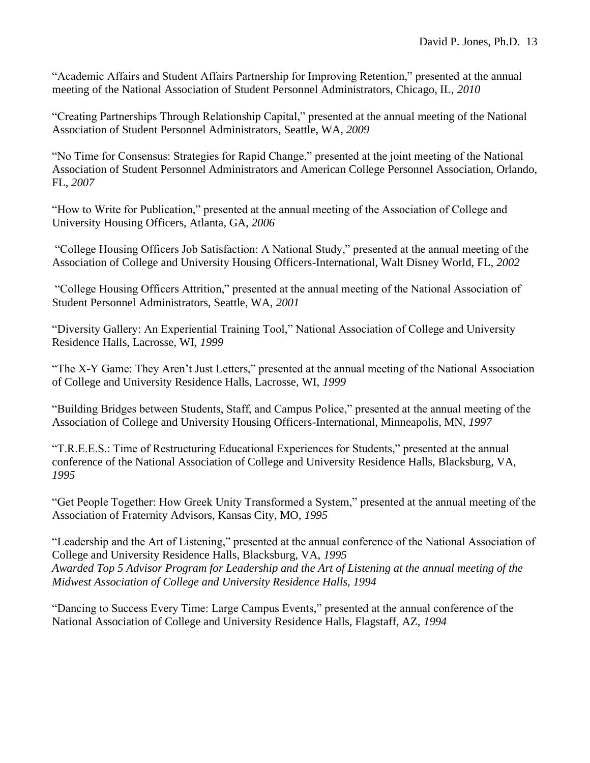"Academic Affairs and Student Affairs Partnership for Improving Retention," presented at the annual meeting of the National Association of Student Personnel Administrators, Chicago, IL, *2010*

"Creating Partnerships Through Relationship Capital," presented at the annual meeting of the National Association of Student Personnel Administrators, Seattle, WA, *2009*

"No Time for Consensus: Strategies for Rapid Change," presented at the joint meeting of the National Association of Student Personnel Administrators and American College Personnel Association, Orlando, FL, *2007*

"How to Write for Publication," presented at the annual meeting of the Association of College and University Housing Officers, Atlanta, GA, *2006*

"College Housing Officers Job Satisfaction: A National Study," presented at the annual meeting of the Association of College and University Housing Officers-International, Walt Disney World, FL, *2002*

"College Housing Officers Attrition," presented at the annual meeting of the National Association of Student Personnel Administrators, Seattle, WA, *2001*

"Diversity Gallery: An Experiential Training Tool," National Association of College and University Residence Halls, Lacrosse, WI, *1999*

"The X-Y Game: They Aren't Just Letters," presented at the annual meeting of the National Association of College and University Residence Halls, Lacrosse, WI, *1999*

"Building Bridges between Students, Staff, and Campus Police," presented at the annual meeting of the Association of College and University Housing Officers-International, Minneapolis, MN, *1997*

"T.R.E.E.S.: Time of Restructuring Educational Experiences for Students," presented at the annual conference of the National Association of College and University Residence Halls, Blacksburg, VA, *1995*

"Get People Together: How Greek Unity Transformed a System," presented at the annual meeting of the Association of Fraternity Advisors, Kansas City, MO, *1995*

"Leadership and the Art of Listening," presented at the annual conference of the National Association of College and University Residence Halls, Blacksburg, VA, *1995 Awarded Top 5 Advisor Program for Leadership and the Art of Listening at the annual meeting of the Midwest Association of College and University Residence Halls, 1994*

"Dancing to Success Every Time: Large Campus Events," presented at the annual conference of the National Association of College and University Residence Halls, Flagstaff, AZ, *1994*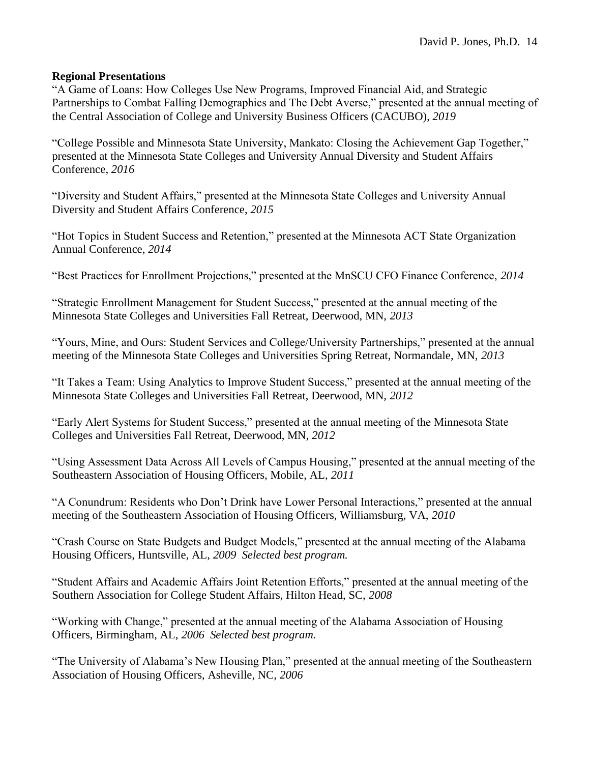### **Regional Presentations**

"A Game of Loans: How Colleges Use New Programs, Improved Financial Aid, and Strategic Partnerships to Combat Falling Demographics and The Debt Averse," presented at the annual meeting of the Central Association of College and University Business Officers (CACUBO), *2019*

"College Possible and Minnesota State University, Mankato: Closing the Achievement Gap Together," presented at the Minnesota State Colleges and University Annual Diversity and Student Affairs Conference, *2016*

"Diversity and Student Affairs," presented at the Minnesota State Colleges and University Annual Diversity and Student Affairs Conference, *2015*

"Hot Topics in Student Success and Retention," presented at the Minnesota ACT State Organization Annual Conference, *2014*

"Best Practices for Enrollment Projections," presented at the MnSCU CFO Finance Conference, *2014*

"Strategic Enrollment Management for Student Success," presented at the annual meeting of the Minnesota State Colleges and Universities Fall Retreat, Deerwood, MN, *2013*

"Yours, Mine, and Ours: Student Services and College/University Partnerships," presented at the annual meeting of the Minnesota State Colleges and Universities Spring Retreat, Normandale, MN, *2013*

"It Takes a Team: Using Analytics to Improve Student Success," presented at the annual meeting of the Minnesota State Colleges and Universities Fall Retreat, Deerwood, MN, *2012*

"Early Alert Systems for Student Success," presented at the annual meeting of the Minnesota State Colleges and Universities Fall Retreat, Deerwood, MN, *2012*

"Using Assessment Data Across All Levels of Campus Housing," presented at the annual meeting of the Southeastern Association of Housing Officers, Mobile, AL, *2011*

"A Conundrum: Residents who Don't Drink have Lower Personal Interactions," presented at the annual meeting of the Southeastern Association of Housing Officers, Williamsburg, VA, *2010*

"Crash Course on State Budgets and Budget Models," presented at the annual meeting of the Alabama Housing Officers, Huntsville, AL, *2009 Selected best program.*

"Student Affairs and Academic Affairs Joint Retention Efforts," presented at the annual meeting of the Southern Association for College Student Affairs, Hilton Head, SC, *2008*

"Working with Change," presented at the annual meeting of the Alabama Association of Housing Officers, Birmingham, AL, *2006 Selected best program.* 

"The University of Alabama's New Housing Plan," presented at the annual meeting of the Southeastern Association of Housing Officers, Asheville, NC, *2006*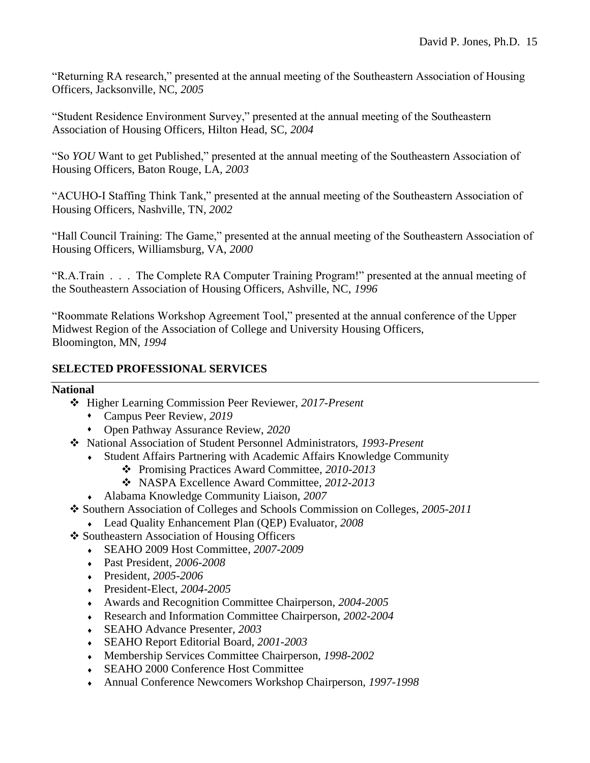"Returning RA research," presented at the annual meeting of the Southeastern Association of Housing Officers, Jacksonville, NC, *2005*

"Student Residence Environment Survey," presented at the annual meeting of the Southeastern Association of Housing Officers, Hilton Head, SC, *2004*

"So *YOU* Want to get Published," presented at the annual meeting of the Southeastern Association of Housing Officers, Baton Rouge, LA, *2003*

"ACUHO-I Staffing Think Tank," presented at the annual meeting of the Southeastern Association of Housing Officers, Nashville, TN, *2002*

"Hall Council Training: The Game," presented at the annual meeting of the Southeastern Association of Housing Officers, Williamsburg, VA, *2000*

"R.A.Train . . . The Complete RA Computer Training Program!" presented at the annual meeting of the Southeastern Association of Housing Officers, Ashville, NC, *1996*

"Roommate Relations Workshop Agreement Tool," presented at the annual conference of the Upper Midwest Region of the Association of College and University Housing Officers, Bloomington, MN, *1994*

# **SELECTED PROFESSIONAL SERVICES**

### **National**

- ❖ Higher Learning Commission Peer Reviewer, *2017-Present*
	- ⬧ Campus Peer Review, *2019*
	- ⬧ Open Pathway Assurance Review, *2020*
- ❖ National Association of Student Personnel Administrators, *1993-Present*
	- Student Affairs Partnering with Academic Affairs Knowledge Community
		- ❖ Promising Practices Award Committee, *2010-2013*
		- ❖ NASPA Excellence Award Committee, *2012-2013*
	- Alabama Knowledge Community Liaison, *2007*
- ❖ Southern Association of Colleges and Schools Commission on Colleges, *2005-2011*
	- Lead Quality Enhancement Plan (QEP) Evaluator, *2008*
- ❖ Southeastern Association of Housing Officers
	- SEAHO 2009 Host Committee, *2007-2009*
	- Past President, *2006-2008*
	- President, *2005-2006*
	- President-Elect, *2004-2005*
	- Awards and Recognition Committee Chairperson, *2004-2005*
	- Research and Information Committee Chairperson, *2002-2004*
	- SEAHO Advance Presenter, *2003*
	- SEAHO Report Editorial Board, *2001-2003*
	- Membership Services Committee Chairperson, *1998-2002*
	- SEAHO 2000 Conference Host Committee
	- Annual Conference Newcomers Workshop Chairperson, *1997-1998*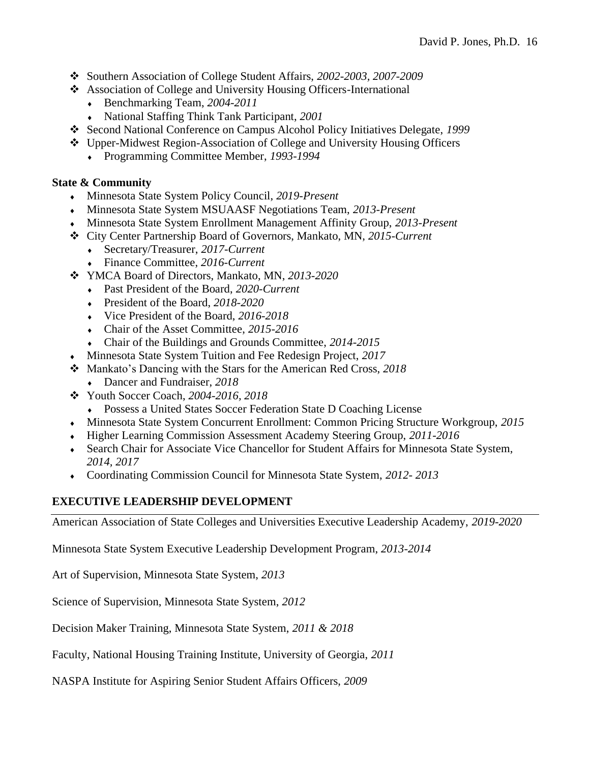- ❖ Southern Association of College Student Affairs, *2002-2003, 2007-2009*
- ❖ Association of College and University Housing Officers-International
	- Benchmarking Team, *2004-2011*
	- National Staffing Think Tank Participant, *2001*
- ❖ Second National Conference on Campus Alcohol Policy Initiatives Delegate, *1999*
- ❖ Upper-Midwest Region-Association of College and University Housing Officers
	- Programming Committee Member, *1993-1994*

# **State & Community**

- Minnesota State System Policy Council, *2019-Present*
- Minnesota State System MSUAASF Negotiations Team, *2013-Present*
- Minnesota State System Enrollment Management Affinity Group, *2013-Present*
- ❖ City Center Partnership Board of Governors, Mankato, MN, *2015-Current*
	- Secretary/Treasurer, *2017-Current*
	- Finance Committee, *2016-Current*
- ❖ YMCA Board of Directors, Mankato, MN, *2013-2020*
	- Past President of the Board, *2020-Current*
	- President of the Board, *2018-2020*
	- Vice President of the Board, *2016-2018*
	- Chair of the Asset Committee, *2015-2016*
	- Chair of the Buildings and Grounds Committee, *2014-2015*
- Minnesota State System Tuition and Fee Redesign Project, *2017*
- ❖ Mankato's Dancing with the Stars for the American Red Cross, *2018*
	- Dancer and Fundraiser, *2018*
- ❖ Youth Soccer Coach, *2004-2016, 2018*
	- Possess a United States Soccer Federation State D Coaching License
- Minnesota State System Concurrent Enrollment: Common Pricing Structure Workgroup, *2015*
- Higher Learning Commission Assessment Academy Steering Group, *2011-2016*
- Search Chair for Associate Vice Chancellor for Student Affairs for Minnesota State System, *2014, 2017*
- Coordinating Commission Council for Minnesota State System, *2012- 2013*

# **EXECUTIVE LEADERSHIP DEVELOPMENT**

American Association of State Colleges and Universities Executive Leadership Academy, *2019-2020*

Minnesota State System Executive Leadership Development Program, *2013-2014*

Art of Supervision, Minnesota State System, *2013*

Science of Supervision, Minnesota State System, *2012*

Decision Maker Training, Minnesota State System, *2011 & 2018*

Faculty, National Housing Training Institute, University of Georgia, *2011*

NASPA Institute for Aspiring Senior Student Affairs Officers, *2009*